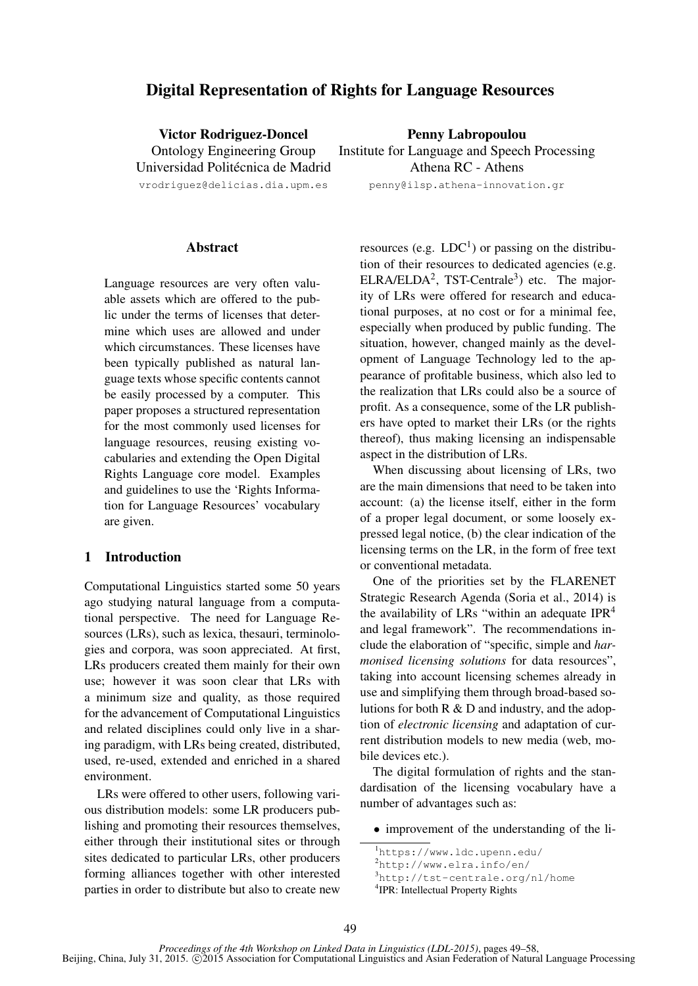# Digital Representation of Rights for Language Resources

Victor Rodriguez-Doncel Ontology Engineering Group Universidad Politécnica de Madrid

vrodriguez@delicias.dia.upm.es

Penny Labropoulou Institute for Language and Speech Processing Athena RC - Athens penny@ilsp.athena-innovation.gr

### **Abstract**

Language resources are very often valuable assets which are offered to the public under the terms of licenses that determine which uses are allowed and under which circumstances. These licenses have been typically published as natural language texts whose specific contents cannot be easily processed by a computer. This paper proposes a structured representation for the most commonly used licenses for language resources, reusing existing vocabularies and extending the Open Digital Rights Language core model. Examples and guidelines to use the 'Rights Information for Language Resources' vocabulary are given.

## 1 Introduction

Computational Linguistics started some 50 years ago studying natural language from a computational perspective. The need for Language Resources (LRs), such as lexica, thesauri, terminologies and corpora, was soon appreciated. At first, LRs producers created them mainly for their own use; however it was soon clear that LRs with a minimum size and quality, as those required for the advancement of Computational Linguistics and related disciplines could only live in a sharing paradigm, with LRs being created, distributed, used, re-used, extended and enriched in a shared environment.

LRs were offered to other users, following various distribution models: some LR producers publishing and promoting their resources themselves, either through their institutional sites or through sites dedicated to particular LRs, other producers forming alliances together with other interested parties in order to distribute but also to create new

resources (e.g.  $LDC<sup>1</sup>$ ) or passing on the distribution of their resources to dedicated agencies (e.g.  $ELRA/ELDA<sup>2</sup>$ , TST-Centrale<sup>3</sup>) etc. The majority of LRs were offered for research and educational purposes, at no cost or for a minimal fee, especially when produced by public funding. The situation, however, changed mainly as the development of Language Technology led to the appearance of profitable business, which also led to the realization that LRs could also be a source of profit. As a consequence, some of the LR publishers have opted to market their LRs (or the rights thereof), thus making licensing an indispensable aspect in the distribution of LRs.

When discussing about licensing of LRs, two are the main dimensions that need to be taken into account: (a) the license itself, either in the form of a proper legal document, or some loosely expressed legal notice, (b) the clear indication of the licensing terms on the LR, in the form of free text or conventional metadata.

One of the priorities set by the FLARENET Strategic Research Agenda (Soria et al., 2014) is the availability of LRs "within an adequate IPR $4$ and legal framework". The recommendations include the elaboration of "specific, simple and *harmonised licensing solutions* for data resources", taking into account licensing schemes already in use and simplifying them through broad-based solutions for both  $R \& D$  and industry, and the adoption of *electronic licensing* and adaptation of current distribution models to new media (web, mobile devices etc.).

The digital formulation of rights and the standardisation of the licensing vocabulary have a number of advantages such as:

• improvement of the understanding of the li-

<sup>1</sup>https://www.ldc.upenn.edu/

<sup>2</sup>http://www.elra.info/en/ <sup>3</sup>http://tst-centrale.org/nl/home

<sup>4</sup> IPR: Intellectual Property Rights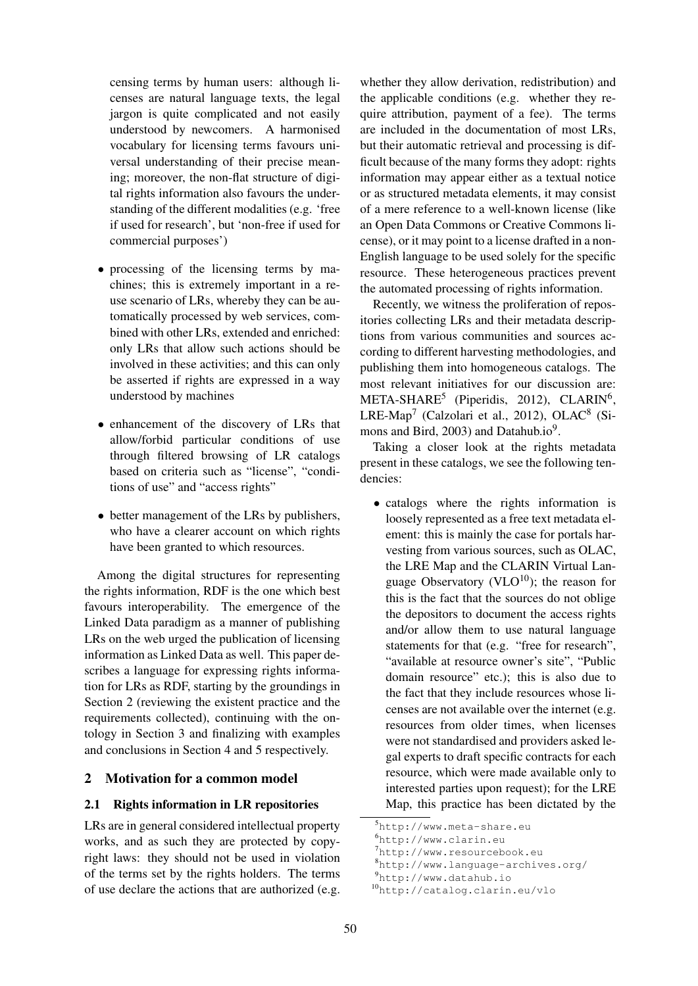censing terms by human users: although licenses are natural language texts, the legal jargon is quite complicated and not easily understood by newcomers. A harmonised vocabulary for licensing terms favours universal understanding of their precise meaning; moreover, the non-flat structure of digital rights information also favours the understanding of the different modalities (e.g. 'free if used for research', but 'non-free if used for commercial purposes')

- processing of the licensing terms by machines; this is extremely important in a reuse scenario of LRs, whereby they can be automatically processed by web services, combined with other LRs, extended and enriched: only LRs that allow such actions should be involved in these activities; and this can only be asserted if rights are expressed in a way understood by machines
- enhancement of the discovery of LRs that allow/forbid particular conditions of use through filtered browsing of LR catalogs based on criteria such as "license", "conditions of use" and "access rights"
- better management of the LRs by publishers, who have a clearer account on which rights have been granted to which resources.

Among the digital structures for representing the rights information, RDF is the one which best favours interoperability. The emergence of the Linked Data paradigm as a manner of publishing LRs on the web urged the publication of licensing information as Linked Data as well. This paper describes a language for expressing rights information for LRs as RDF, starting by the groundings in Section 2 (reviewing the existent practice and the requirements collected), continuing with the ontology in Section 3 and finalizing with examples and conclusions in Section 4 and 5 respectively.

# 2 Motivation for a common model

## 2.1 Rights information in LR repositories

LRs are in general considered intellectual property works, and as such they are protected by copyright laws: they should not be used in violation of the terms set by the rights holders. The terms of use declare the actions that are authorized (e.g.

whether they allow derivation, redistribution) and the applicable conditions (e.g. whether they require attribution, payment of a fee). The terms are included in the documentation of most LRs, but their automatic retrieval and processing is difficult because of the many forms they adopt: rights information may appear either as a textual notice or as structured metadata elements, it may consist of a mere reference to a well-known license (like an Open Data Commons or Creative Commons license), or it may point to a license drafted in a non-English language to be used solely for the specific resource. These heterogeneous practices prevent the automated processing of rights information.

Recently, we witness the proliferation of repositories collecting LRs and their metadata descriptions from various communities and sources according to different harvesting methodologies, and publishing them into homogeneous catalogs. The most relevant initiatives for our discussion are: META-SHARE<sup>5</sup> (Piperidis, 2012), CLARIN<sup>6</sup>, LRE-Map<sup>7</sup> (Calzolari et al., 2012), OLAC<sup>8</sup> (Simons and Bird, 2003) and Datahub.io<sup>9</sup>.

Taking a closer look at the rights metadata present in these catalogs, we see the following tendencies:

• catalogs where the rights information is loosely represented as a free text metadata element: this is mainly the case for portals harvesting from various sources, such as OLAC, the LRE Map and the CLARIN Virtual Language Observatory (VLO $^{10}$ ); the reason for this is the fact that the sources do not oblige the depositors to document the access rights and/or allow them to use natural language statements for that (e.g. "free for research", "available at resource owner's site", "Public domain resource" etc.); this is also due to the fact that they include resources whose licenses are not available over the internet (e.g. resources from older times, when licenses were not standardised and providers asked legal experts to draft specific contracts for each resource, which were made available only to interested parties upon request); for the LRE Map, this practice has been dictated by the

<sup>9</sup>http://www.datahub.io

<sup>5</sup>http://www.meta-share.eu

<sup>6</sup>http://www.clarin.eu

<sup>7</sup>http://www.resourcebook.eu

<sup>8</sup>http://www.language-archives.org/

<sup>10</sup>http://catalog.clarin.eu/vlo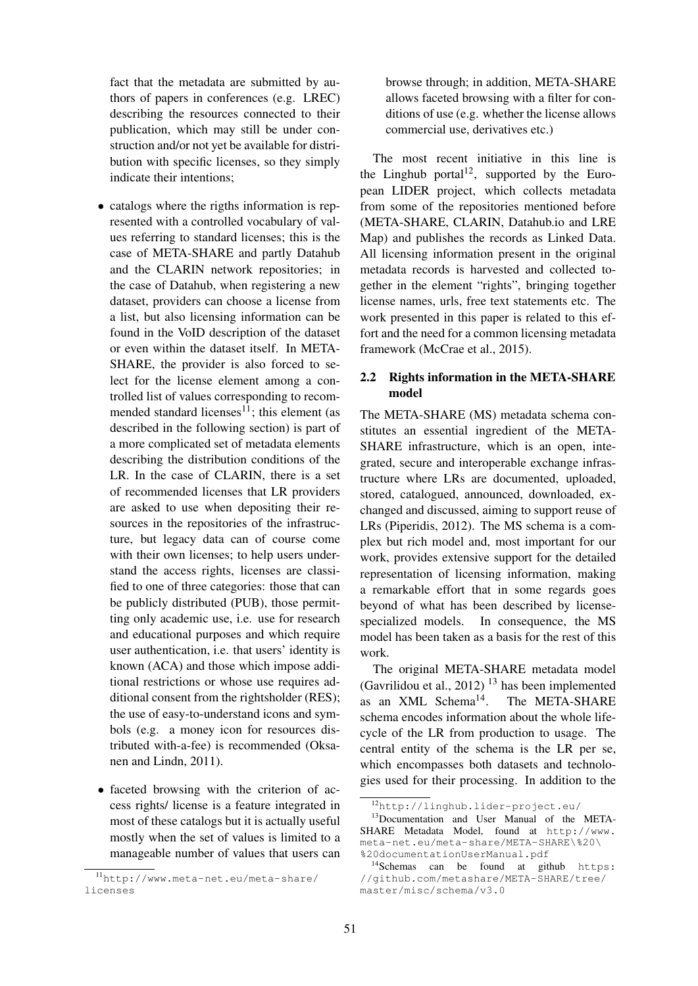fact that the metadata are submitted by authors of papers in conferences (e.g. LREC) describing the resources connected to their publication, which may still be under construction and/or not yet be available for distribution with specific licenses, so they simply indicate their intentions;

- catalogs where the rigths information is represented with a controlled vocabulary of values referring to standard licenses; this is the case of META-SHARE and partly Datahub and the CLARIN network repositories; in the case of Datahub, when registering a new dataset, providers can choose a license from a list, but also licensing information can be found in the VoID description of the dataset or even within the dataset itself. In META-SHARE, the provider is also forced to select for the license element among a controlled list of values corresponding to recommended standard licenses<sup>11</sup>; this element (as described in the following section) is part of a more complicated set of metadata elements describing the distribution conditions of the LR. In the case of CLARIN, there is a set of recommended licenses that LR providers are asked to use when depositing their resources in the repositories of the infrastructure, but legacy data can of course come with their own licenses; to help users understand the access rights, licenses are classified to one of three categories: those that can be publicly distributed (PUB), those permitting only academic use, i.e. use for research and educational purposes and which require user authentication, i.e. that users' identity is known (ACA) and those which impose additional restrictions or whose use requires additional consent from the rightsholder (RES); the use of easy-to-understand icons and symbols (e.g. a money icon for resources distributed with-a-fee) is recommended (Oksanen and Lindn, 2011).
- faceted browsing with the criterion of access rights/ license is a feature integrated in most of these catalogs but it is actually useful mostly when the set of values is limited to a manageable number of values that users can

browse through; in addition, META-SHARE allows faceted browsing with a filter for conditions of use (e.g. whether the license allows commercial use, derivatives etc.)

The most recent initiative in this line is the Linghub portal<sup>12</sup>, supported by the European LIDER project, which collects metadata from some of the repositories mentioned before (META-SHARE, CLARIN, Datahub.io and LRE Map) and publishes the records as Linked Data. All licensing information present in the original metadata records is harvested and collected together in the element "rights", bringing together license names, urls, free text statements etc. The work presented in this paper is related to this effort and the need for a common licensing metadata framework (McCrae et al., 2015).

## 2.2 Rights information in the META-SHARE model

The META-SHARE (MS) metadata schema constitutes an essential ingredient of the META-SHARE infrastructure, which is an open, integrated, secure and interoperable exchange infrastructure where LRs are documented, uploaded, stored, catalogued, announced, downloaded, exchanged and discussed, aiming to support reuse of LRs (Piperidis, 2012). The MS schema is a complex but rich model and, most important for our work, provides extensive support for the detailed representation of licensing information, making a remarkable effort that in some regards goes beyond of what has been described by licensespecialized models. In consequence, the MS model has been taken as a basis for the rest of this work.

The original META-SHARE metadata model (Gavrilidou et al., 2012)  $^{13}$  has been implemented as an  $XML$  Schema<sup>14</sup>. The META-SHARE schema encodes information about the whole lifecycle of the LR from production to usage. The central entity of the schema is the LR per se, which encompasses both datasets and technologies used for their processing. In addition to the

<sup>11</sup>http://www.meta-net.eu/meta-share/ licenses

<sup>12</sup>http://linghub.lider-project.eu/

<sup>&</sup>lt;sup>13</sup>Documentation and User Manual of the META-SHARE Metadata Model, found at http://www. meta-net.eu/meta-share/META-SHARE\%20\ %20documentationUserManual.pdf

<sup>&</sup>lt;sup>14</sup>Schemas can be found at github https: //github.com/metashare/META-SHARE/tree/ master/misc/schema/v3.0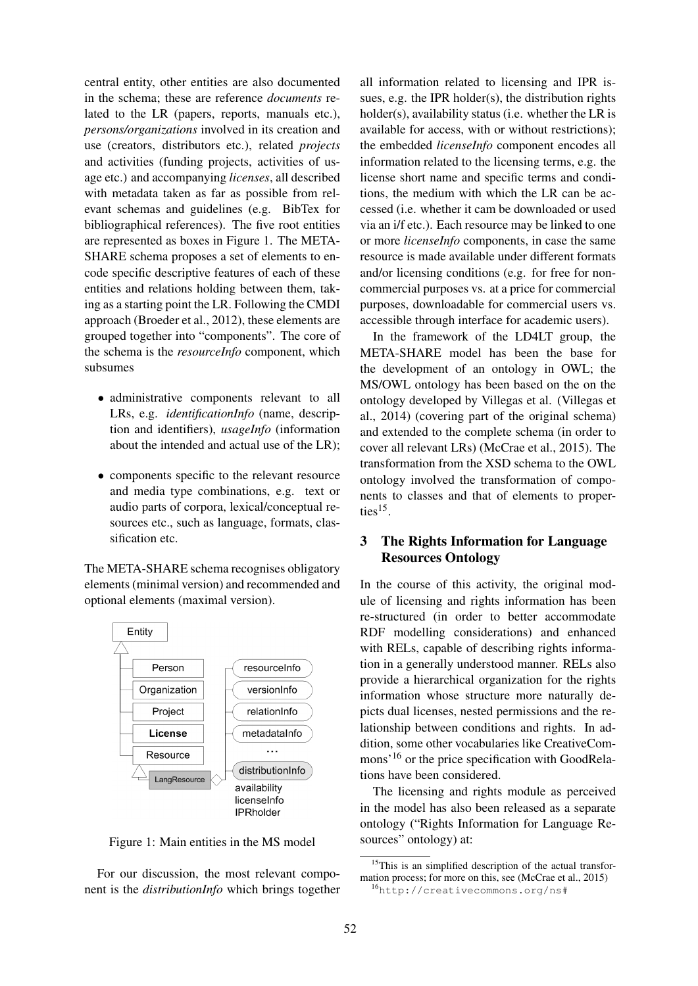central entity, other entities are also documented in the schema; these are reference *documents* related to the LR (papers, reports, manuals etc.), *persons/organizations* involved in its creation and use (creators, distributors etc.), related *projects* and activities (funding projects, activities of usage etc.) and accompanying *licenses*, all described with metadata taken as far as possible from relevant schemas and guidelines (e.g. BibTex for bibliographical references). The five root entities are represented as boxes in Figure 1. The META-SHARE schema proposes a set of elements to encode specific descriptive features of each of these entities and relations holding between them, taking as a starting point the LR. Following the CMDI approach (Broeder et al., 2012), these elements are grouped together into "components". The core of the schema is the *resourceInfo* component, which subsumes

- administrative components relevant to all LRs, e.g. *identificationInfo* (name, description and identifiers), *usageInfo* (information about the intended and actual use of the LR);
- components specific to the relevant resource and media type combinations, e.g. text or audio parts of corpora, lexical/conceptual resources etc., such as language, formats, classification etc.

The META-SHARE schema recognises obligatory elements (minimal version) and recommended and optional elements (maximal version).



Figure 1: Main entities in the MS model

For our discussion, the most relevant component is the *distributionInfo* which brings together

all information related to licensing and IPR issues, e.g. the IPR holder(s), the distribution rights holder(s), availability status (i.e. whether the LR is available for access, with or without restrictions); the embedded *licenseInfo* component encodes all information related to the licensing terms, e.g. the license short name and specific terms and conditions, the medium with which the LR can be accessed (i.e. whether it cam be downloaded or used via an i/f etc.). Each resource may be linked to one or more *licenseInfo* components, in case the same resource is made available under different formats and/or licensing conditions (e.g. for free for noncommercial purposes vs. at a price for commercial purposes, downloadable for commercial users vs. accessible through interface for academic users).

In the framework of the LD4LT group, the META-SHARE model has been the base for the development of an ontology in OWL; the MS/OWL ontology has been based on the on the ontology developed by Villegas et al. (Villegas et al., 2014) (covering part of the original schema) and extended to the complete schema (in order to cover all relevant LRs) (McCrae et al., 2015). The transformation from the XSD schema to the OWL ontology involved the transformation of components to classes and that of elements to properties $^{15}$ .

# 3 The Rights Information for Language Resources Ontology

In the course of this activity, the original module of licensing and rights information has been re-structured (in order to better accommodate RDF modelling considerations) and enhanced with RELs, capable of describing rights information in a generally understood manner. RELs also provide a hierarchical organization for the rights information whose structure more naturally depicts dual licenses, nested permissions and the relationship between conditions and rights. In addition, some other vocabularies like CreativeCommons'<sup>16</sup> or the price specification with GoodRelations have been considered.

The licensing and rights module as perceived in the model has also been released as a separate ontology ("Rights Information for Language Resources" ontology) at:

<sup>&</sup>lt;sup>15</sup>This is an simplified description of the actual transformation process; for more on this, see (McCrae et al., 2015)

<sup>16</sup>http://creativecommons.org/ns#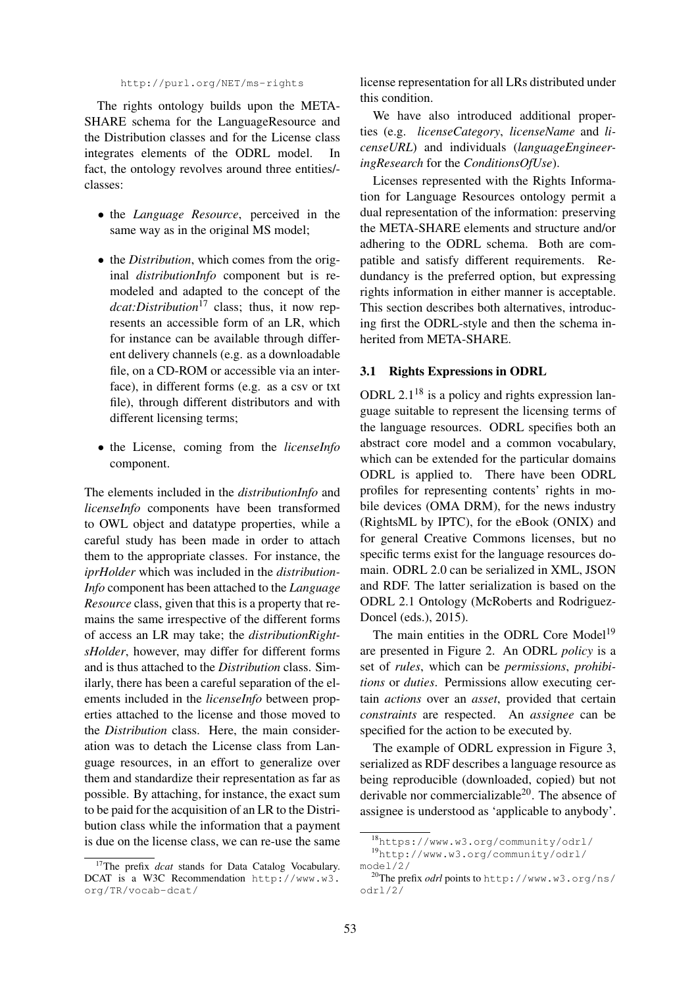#### http://purl.org/NET/ms-rights

The rights ontology builds upon the META-SHARE schema for the LanguageResource and the Distribution classes and for the License class integrates elements of the ODRL model. In fact, the ontology revolves around three entities/ classes:

- the *Language Resource*, perceived in the same way as in the original MS model;
- the *Distribution*, which comes from the original *distributionInfo* component but is remodeled and adapted to the concept of the *dcat:Distribution*<sup>17</sup> class; thus, it now represents an accessible form of an LR, which for instance can be available through different delivery channels (e.g. as a downloadable file, on a CD-ROM or accessible via an interface), in different forms (e.g. as a csv or txt file), through different distributors and with different licensing terms;
- the License, coming from the *licenseInfo* component.

The elements included in the *distributionInfo* and *licenseInfo* components have been transformed to OWL object and datatype properties, while a careful study has been made in order to attach them to the appropriate classes. For instance, the *iprHolder* which was included in the *distribution-Info* component has been attached to the *Language Resource* class, given that this is a property that remains the same irrespective of the different forms of access an LR may take; the *distributionRightsHolder*, however, may differ for different forms and is thus attached to the *Distribution* class. Similarly, there has been a careful separation of the elements included in the *licenseInfo* between properties attached to the license and those moved to the *Distribution* class. Here, the main consideration was to detach the License class from Language resources, in an effort to generalize over them and standardize their representation as far as possible. By attaching, for instance, the exact sum to be paid for the acquisition of an LR to the Distribution class while the information that a payment is due on the license class, we can re-use the same license representation for all LRs distributed under this condition.

We have also introduced additional properties (e.g. *licenseCategory*, *licenseName* and *licenseURL*) and individuals (*languageEngineeringResearch* for the *ConditionsOfUse*).

Licenses represented with the Rights Information for Language Resources ontology permit a dual representation of the information: preserving the META-SHARE elements and structure and/or adhering to the ODRL schema. Both are compatible and satisfy different requirements. Redundancy is the preferred option, but expressing rights information in either manner is acceptable. This section describes both alternatives, introducing first the ODRL-style and then the schema inherited from META-SHARE.

### 3.1 Rights Expressions in ODRL

ODRL 2.1<sup>18</sup> is a policy and rights expression language suitable to represent the licensing terms of the language resources. ODRL specifies both an abstract core model and a common vocabulary, which can be extended for the particular domains ODRL is applied to. There have been ODRL profiles for representing contents' rights in mobile devices (OMA DRM), for the news industry (RightsML by IPTC), for the eBook (ONIX) and for general Creative Commons licenses, but no specific terms exist for the language resources domain. ODRL 2.0 can be serialized in XML, JSON and RDF. The latter serialization is based on the ODRL 2.1 Ontology (McRoberts and Rodriguez-Doncel (eds.), 2015).

The main entities in the ODRL Core Model<sup>19</sup> are presented in Figure 2. An ODRL *policy* is a set of *rules*, which can be *permissions*, *prohibitions* or *duties*. Permissions allow executing certain *actions* over an *asset*, provided that certain *constraints* are respected. An *assignee* can be specified for the action to be executed by.

The example of ODRL expression in Figure 3, serialized as RDF describes a language resource as being reproducible (downloaded, copied) but not derivable nor commercializable<sup>20</sup>. The absence of assignee is understood as 'applicable to anybody'.

<sup>&</sup>lt;sup>17</sup>The prefix *dcat* stands for Data Catalog Vocabulary. DCAT is a W3C Recommendation http://www.w3. org/TR/vocab-dcat/

<sup>18</sup>https://www.w3.org/community/odrl/

<sup>19</sup>http://www.w3.org/community/odrl/ model/2/

<sup>20</sup>The prefix *odrl* points to http://www.w3.org/ns/ odrl/2/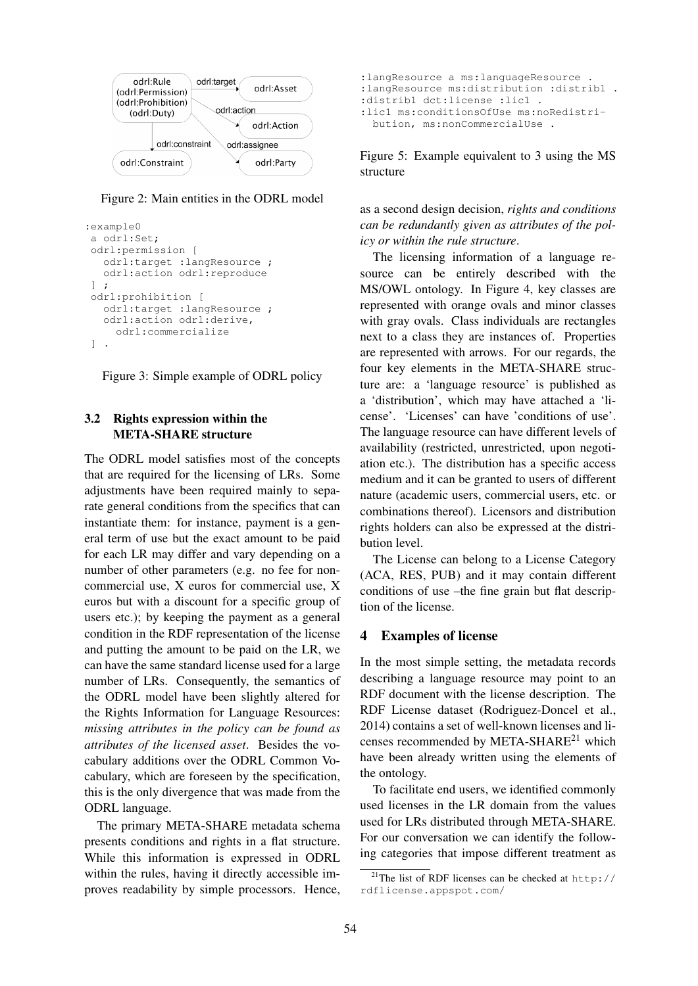

Figure 2: Main entities in the ODRL model

```
:example0
a odrl:Set;
odrl:permission [
  odrl:target :langResource ;
  odrl:action odrl:reproduce
] ;
odrl:prohibition [
  odrl:target :langResource ;
  odrl:action odrl:derive,
     odrl:commercialize
] .
```


# 3.2 Rights expression within the META-SHARE structure

The ODRL model satisfies most of the concepts that are required for the licensing of LRs. Some adjustments have been required mainly to separate general conditions from the specifics that can instantiate them: for instance, payment is a general term of use but the exact amount to be paid for each LR may differ and vary depending on a number of other parameters (e.g. no fee for noncommercial use, X euros for commercial use, X euros but with a discount for a specific group of users etc.); by keeping the payment as a general condition in the RDF representation of the license and putting the amount to be paid on the LR, we can have the same standard license used for a large number of LRs. Consequently, the semantics of the ODRL model have been slightly altered for the Rights Information for Language Resources: *missing attributes in the policy can be found as attributes of the licensed asset*. Besides the vocabulary additions over the ODRL Common Vocabulary, which are foreseen by the specification, this is the only divergence that was made from the ODRL language.

The primary META-SHARE metadata schema presents conditions and rights in a flat structure. While this information is expressed in ODRL within the rules, having it directly accessible improves readability by simple processors. Hence,

```
:langResource a ms:languageResource .
:langResource ms:distribution :distrib1 .
:distrib1 dct:license :lic1 .
:lic1 ms:conditionsOfUse ms:noRedistri-
 bution, ms:nonCommercialUse .
```
Figure 5: Example equivalent to 3 using the MS structure

as a second design decision, *rights and conditions can be redundantly given as attributes of the policy or within the rule structure*.

The licensing information of a language resource can be entirely described with the MS/OWL ontology. In Figure 4, key classes are represented with orange ovals and minor classes with gray ovals. Class individuals are rectangles next to a class they are instances of. Properties are represented with arrows. For our regards, the four key elements in the META-SHARE structure are: a 'language resource' is published as a 'distribution', which may have attached a 'license'. 'Licenses' can have 'conditions of use'. The language resource can have different levels of availability (restricted, unrestricted, upon negotiation etc.). The distribution has a specific access medium and it can be granted to users of different nature (academic users, commercial users, etc. or combinations thereof). Licensors and distribution rights holders can also be expressed at the distribution level.

The License can belong to a License Category (ACA, RES, PUB) and it may contain different conditions of use –the fine grain but flat description of the license.

### 4 Examples of license

In the most simple setting, the metadata records describing a language resource may point to an RDF document with the license description. The RDF License dataset (Rodriguez-Doncel et al., 2014) contains a set of well-known licenses and licenses recommended by META-SHARE<sup>21</sup> which have been already written using the elements of the ontology.

To facilitate end users, we identified commonly used licenses in the LR domain from the values used for LRs distributed through META-SHARE. For our conversation we can identify the following categories that impose different treatment as

<sup>&</sup>lt;sup>21</sup>The list of RDF licenses can be checked at  $http://$ rdflicense.appspot.com/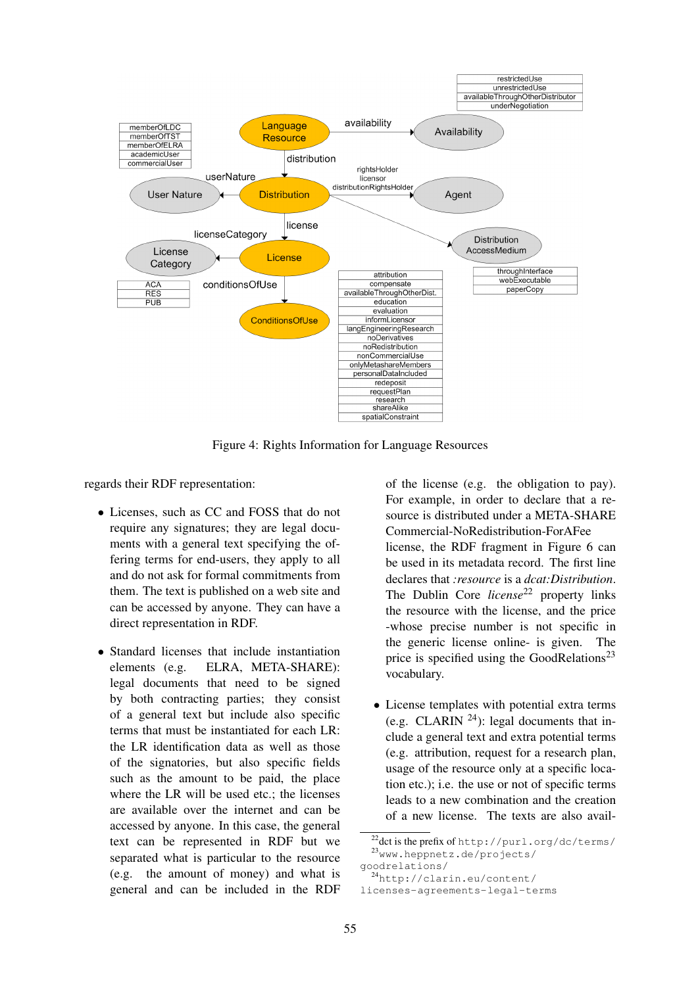

Figure 4: Rights Information for Language Resources

regards their RDF representation:

- Licenses, such as CC and FOSS that do not require any signatures; they are legal documents with a general text specifying the offering terms for end-users, they apply to all and do not ask for formal commitments from them. The text is published on a web site and can be accessed by anyone. They can have a direct representation in RDF.
- Standard licenses that include instantiation elements (e.g. ELRA, META-SHARE): ELRA, META-SHARE): legal documents that need to be signed by both contracting parties; they consist of a general text but include also specific terms that must be instantiated for each LR: the LR identification data as well as those of the signatories, but also specific fields such as the amount to be paid, the place where the LR will be used etc.; the licenses are available over the internet and can be accessed by anyone. In this case, the general text can be represented in RDF but we separated what is particular to the resource (e.g. the amount of money) and what is general and can be included in the RDF

of the license (e.g. the obligation to pay). For example, in order to declare that a resource is distributed under a META-SHARE Commercial-NoRedistribution-ForAFee license, the RDF fragment in Figure 6 can be used in its metadata record. The first line declares that *:resource* is a *dcat:Distribution*. The Dublin Core *license*<sup>22</sup> property links the resource with the license, and the price -whose precise number is not specific in the generic license online- is given. The price is specified using the GoodRelations<sup>23</sup> vocabulary.

• License templates with potential extra terms (e.g. CLARIN  $^{24}$ ): legal documents that include a general text and extra potential terms (e.g. attribution, request for a research plan, usage of the resource only at a specific location etc.); i.e. the use or not of specific terms leads to a new combination and the creation of a new license. The texts are also avail-

<sup>22</sup>dct is the prefix of http://purl.org/dc/terms/ <sup>23</sup>www.heppnetz.de/projects/

goodrelations/

<sup>24</sup>http://clarin.eu/content/

licenses-agreements-legal-terms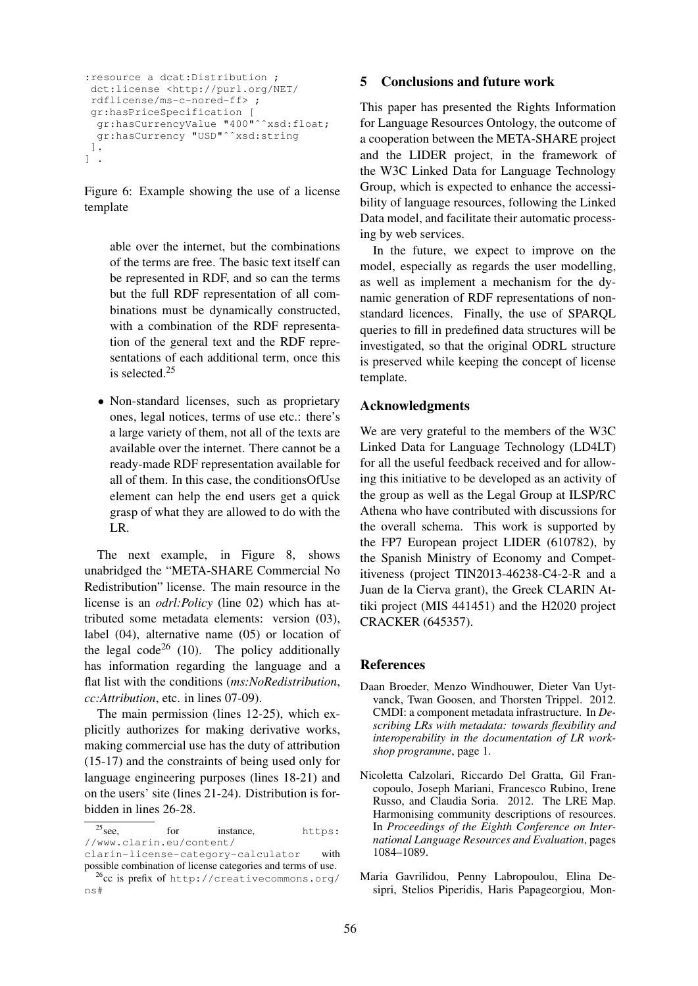```
:resource a dcat:Distribution ;
dct:license <http://purl.org/NET/
 rdflicense/ms-c-nored-ff> ;
 gr:hasPriceSpecification [
  gr:hasCurrencyValue "400"ˆˆxsd:float;
 gr:hasCurrency "USD"^^xsd:string
 ].
\vert .
```
Figure 6: Example showing the use of a license template

able over the internet, but the combinations of the terms are free. The basic text itself can be represented in RDF, and so can the terms but the full RDF representation of all combinations must be dynamically constructed, with a combination of the RDF representation of the general text and the RDF representations of each additional term, once this is selected.<sup>25</sup>

• Non-standard licenses, such as proprietary ones, legal notices, terms of use etc.: there's a large variety of them, not all of the texts are available over the internet. There cannot be a ready-made RDF representation available for all of them. In this case, the conditionsOfUse element can help the end users get a quick grasp of what they are allowed to do with the LR.

The next example, in Figure 8, shows unabridged the "META-SHARE Commercial No Redistribution" license. The main resource in the license is an *odrl:Policy* (line 02) which has attributed some metadata elements: version (03), label (04), alternative name (05) or location of the legal code<sup>26</sup> (10). The policy additionally has information regarding the language and a flat list with the conditions (*ms:NoRedistribution*, *cc:Attribution*, etc. in lines 07-09).

The main permission (lines 12-25), which explicitly authorizes for making derivative works, making commercial use has the duty of attribution (15-17) and the constraints of being used only for language engineering purposes (lines 18-21) and on the users' site (lines 21-24). Distribution is forbidden in lines 26-28.

### 5 Conclusions and future work

This paper has presented the Rights Information for Language Resources Ontology, the outcome of a cooperation between the META-SHARE project and the LIDER project, in the framework of the W3C Linked Data for Language Technology Group, which is expected to enhance the accessibility of language resources, following the Linked Data model, and facilitate their automatic processing by web services.

In the future, we expect to improve on the model, especially as regards the user modelling, as well as implement a mechanism for the dynamic generation of RDF representations of nonstandard licences. Finally, the use of SPARQL queries to fill in predefined data structures will be investigated, so that the original ODRL structure is preserved while keeping the concept of license template.

# Acknowledgments

We are very grateful to the members of the W3C Linked Data for Language Technology (LD4LT) for all the useful feedback received and for allowing this initiative to be developed as an activity of the group as well as the Legal Group at ILSP/RC Athena who have contributed with discussions for the overall schema. This work is supported by the FP7 European project LIDER (610782), by the Spanish Ministry of Economy and Competitiveness (project TIN2013-46238-C4-2-R and a Juan de la Cierva grant), the Greek CLARIN Attiki project (MIS 441451) and the H2020 project CRACKER (645357).

#### References

- Daan Broeder, Menzo Windhouwer, Dieter Van Uytvanck, Twan Goosen, and Thorsten Trippel. 2012. CMDI: a component metadata infrastructure. In *Describing LRs with metadata: towards flexibility and interoperability in the documentation of LR workshop programme*, page 1.
- Nicoletta Calzolari, Riccardo Del Gratta, Gil Francopoulo, Joseph Mariani, Francesco Rubino, Irene Russo, and Claudia Soria. 2012. The LRE Map. Harmonising community descriptions of resources. In *Proceedings of the Eighth Conference on International Language Resources and Evaluation*, pages 1084–1089.
- Maria Gavrilidou, Penny Labropoulou, Elina Desipri, Stelios Piperidis, Haris Papageorgiou, Mon-

 $25$ see, for instance, https: //www.clarin.eu/content/

clarin-license-category-calculator with possible combination of license categories and terms of use.

<sup>26</sup>cc is prefix of http://creativecommons.org/ ns#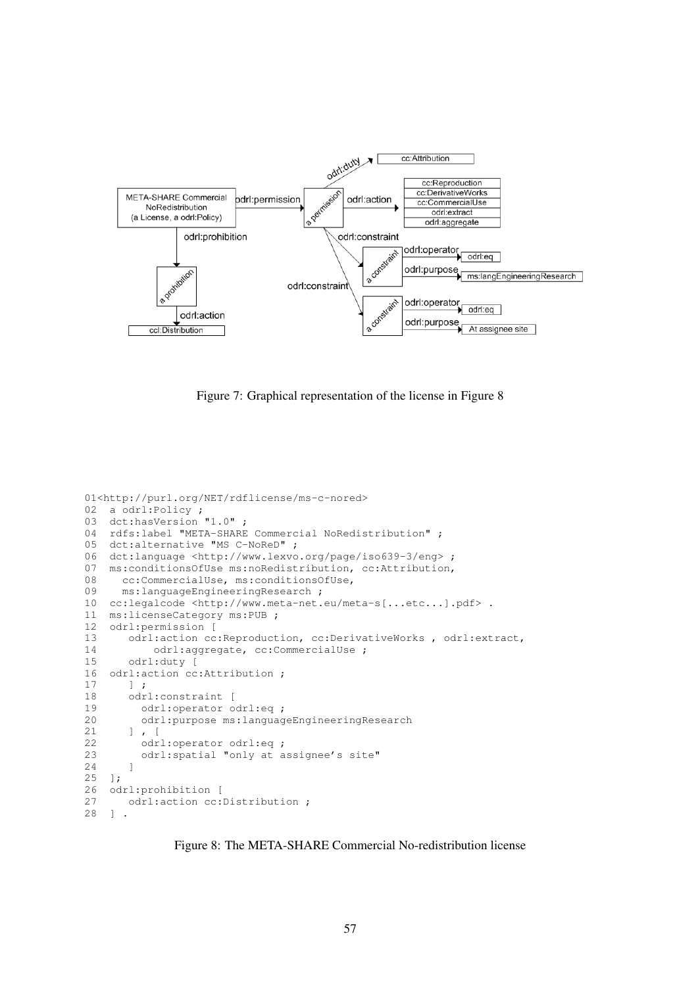

Figure 7: Graphical representation of the license in Figure 8

```
01<http://purl.org/NET/rdflicense/ms-c-nored>
02 a odrl:Policy ;
03 dct:hasVersion "1.0";<br>04 rdfs:label "META-SHARE
    rdfs:label "META-SHARE Commercial NoRedistribution" ;
05 dct:alternative "MS C-NoReD" ;
06 dct:language <http://www.lexvo.org/page/iso639-3/eng> ;<br>07 ms:conditionsOfUse ms:noRedistribution, cc:Attribution,
    ms:conditionsOfUse ms:noRedistribution, cc:Attribution,
08 cc:CommercialUse, ms:conditionsOfUse,<br>09 ms:languageEngineeringResearch ;
       ms:languageEngineeringResearch ;
10 cc:legalcode <http://www.meta-net.eu/meta-s[...etc...].pdf> .
11 ms:licenseCategory ms:PUB ;
12 odrl: permission [<br>13 odrl: action cc
        odrl:action cc:Reproduction, cc:DerivativeWorks , odrl:extract,
14 odrl:aggregate, cc:CommercialUse ;<br>15 odrl:duty [
15 odrl:duty [<br>16 odrl:action cc
16 odrl: action cc: Attribution ;<br>17 1 :
17 ] ;<br>18 odr
        odrl:constraint [
19 odrl:operator odrl:eq ;
20 odrl:purpose ms:languageEngineeringResearch
21 ] , [
22 odrl:operator odrl:eq ;
23 odrl:spatial "only at assignee's site"
24 ]
25 ];<br>26 od
26 odrl: prohibition [<br>27 odrl: action cc:
27 odrl: action cc: Distribution ;<br>28 ] .
   \frac{1}{2} .
```
Figure 8: The META-SHARE Commercial No-redistribution license